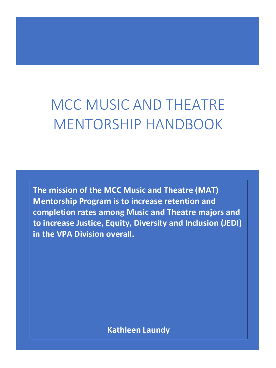# MCC MUSIC AND THEATRE MENTORSHIP HANDBOOK

**The mission of the MCC Music and Theatre (MAT) Mentorship Program is to increase retention and completion rates among Music and Theatre majors and to increase Justice, Equity, Diversity and Inclusion (JEDI) in the VPA Division overall.**

**Kathleen Laundy**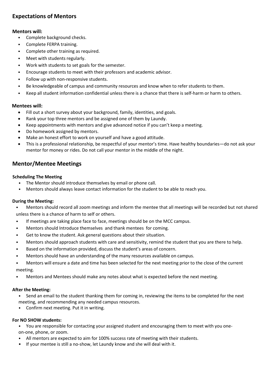# **Expectations of Mentors**

# **Mentors will:**

- Complete background checks.
- Complete FERPA training.
- Complete other training as required.
- Meet with students regularly.
- Work with students to set goals for the semester.
- Encourage students to meet with their professors and academic advisor.
- Follow up with non-responsive students.
- Be knowledgeable of campus and community resources and know when to refer students to them.
- Keep all student information confidential unless there is a chance that there is self-harm or harm to others.

# **Mentees will:**

- Fill out a short survey about your background, family, identities, and goals.
- Rank your top three mentors and be assigned one of them by Laundy.
- Keep appointments with mentors and give advanced notice if you can't keep a meeting.
- Do homework assigned by mentors.
- Make an honest effort to work on yourself and have a good attitude.
- This is a professional relationship, be respectful of your mentor's time. Have healthy boundaries—do not ask your mentor for money or rides. Do not call your mentor in the middle of the night.

# **Mentor/Mentee Meetings**

#### **Scheduling The Meeting**

- The Mentor should introduce themselves by email or phone call.
- Mentors should always leave contact information for the student to be able to reach you.

#### **During the Meeting:**

- Mentors should record all zoom meetings and inform the mentee that all meetings will be recorded but not shared unless there is a chance of harm to self or others.
- If meetings are taking place face to face, meetings should be on the MCC campus.
- Mentors should Introduce themselves and thank mentees for coming.
- Get to know the student. Ask general questions about their situation.
- Mentors should approach students with care and sensitivity, remind the student that you are there to help.
- Based on the information provided, discuss the student's areas of concern.
- Mentors should have an understanding of the many resources available on campus.
- Mentors will ensure a date and time has been selected for the next meeting prior to the close of the current meeting.
- Mentors and Mentees should make any notes about what is expected before the next meeting.

#### **After the Meeting:**

- Send an email to the student thanking them for coming in, reviewing the items to be completed for the next meeting, and recommending any needed campus resources.
- Confirm next meeting. Put it in writing.

#### **For NO SHOW students:**

- You are responsible for contacting your assigned student and encouraging them to meet with you oneon-one, phone, or zoom.
- All mentors are expected to aim for 100% success rate of meeting with their students.
- If your mentee is still a no-show, let Laundy know and she will deal with it.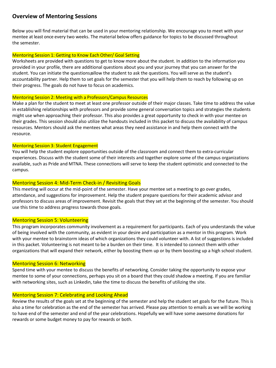# **Overview of Mentoring Sessions**

Below you will find material that can be used in your mentoring relationship. We encourage you to meet with your mentee at least once every two weeks. The material below offers guidance for topics to be discussed throughout the semester.

#### Mentoring Session 1: Getting to Know Each Other/ Goal Setting

Worksheets are provided with questions to get to know more about the student. In addition to the information you provided in your profile, there are additional questions about you and your journey that you can answer for the student. You can initiate the questions allow the student to ask the questions. You will serve as the student's accountability partner. Help them to set goals for the semester that you will help them to reach by following up on their progress. The goals do not have to focus on academics.

#### Mentoring Session 2: Meeting with a Professors/Campus Resources

Make a plan for the student to meet at least one professor outside of their major classes. Take time to address the value in establishing relationships with professors and provide some general conversation topics and strategies the students might use when approaching their professor. This also provides a great opportunity to check in with your mentee on their grades. This session should also utilize the handouts included in this packet to discuss the availability of campus resources. Mentors should ask the mentees what areas they need assistance in and help them connect with the resource.

#### Mentoring Session 3: Student Engagement

You will help the student explore opportunities outside of the classroom and connect them to extra-curricular experiences. Discuss with the student some of their interests and together explore some of the campus organizations available, such as Pride and MTNA. These connections will serve to keep the student optimistic and connected to the campus.

#### Mentoring Session 4: Mid-Term Check-in / Revisiting Goals

This meeting will occur at the mid-point of the semester. Have your mentee set a meeting to go over grades, attendance, and suggestions for improvement. Help the student prepare questions for their academic advisor and professors to discuss areas of improvement. Revisit the goals that they set at the beginning of the semester. You should use this time to address progress towards those goals.

#### Mentoring Session 5: Volunteering

This program incorporates community involvement as a requirement for participants. Each of you understands the value of being involved with the community, as evident in your desire and participation as a mentor in this program. Work with your mentee to brainstorm ideas of which organizations they could volunteer with. A list of suggestions is included in this packet. Volunteering is not meant to be a burden on their time. It is intended to connect them with other organizations that will expand their network, either by boosting them up or by them boosting up a high school student.

#### Mentoring Session 6: Networking

Spend time with your mentee to discuss the benefits of networking. Consider taking the opportunity to expose your mentee to some of your connections, perhaps you sit on a board that they could shadow a meeting. If you are familiar with networking sites, such as Linkedin, take the time to discuss the benefits of utilizing the site.

#### Mentoring Session 7: Celebrating and Looking Ahead

Review the results of the goals set at the beginning of the semester and help the student set goals for the future. This is also a time for celebration as the end of the semester has arrived. Please pay attention to emails as we will be working to have end of the semester and end of the year celebrations. Hopefully we will have some awesome donations for rewards or some budget money to pay for rewards or both.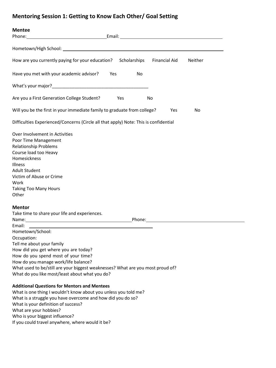# **Mentoring Session 1: Getting to Know Each Other/ Goal Setting**

| <b>Mentee</b>                                                                        |     |    |                      |         |
|--------------------------------------------------------------------------------------|-----|----|----------------------|---------|
| Phone:                                                                               |     |    |                      |         |
|                                                                                      |     |    |                      |         |
|                                                                                      |     |    |                      |         |
| How are you currently paying for your education? Scholarships                        |     |    | <b>Financial Aid</b> | Neither |
|                                                                                      |     |    |                      |         |
| Have you met with your academic advisor?                                             | Yes | No |                      |         |
|                                                                                      |     |    |                      |         |
|                                                                                      |     |    |                      |         |
| Are you a First Generation College Student?                                          | Yes | No |                      |         |
| Will you be the first in your immediate family to graduate from college?             |     |    | Yes                  | No      |
| Difficulties Experienced/Concerns (Circle all that apply) Note: This is confidential |     |    |                      |         |
| Over Involvement in Activities                                                       |     |    |                      |         |
| Poor Time Management                                                                 |     |    |                      |         |
| <b>Relationship Problems</b>                                                         |     |    |                      |         |
| Course load too Heavy                                                                |     |    |                      |         |
| Homesickness                                                                         |     |    |                      |         |
| Illness                                                                              |     |    |                      |         |
| <b>Adult Student</b>                                                                 |     |    |                      |         |
| Victim of Abuse or Crime                                                             |     |    |                      |         |
| Work                                                                                 |     |    |                      |         |
| <b>Taking Too Many Hours</b>                                                         |     |    |                      |         |
| Other                                                                                |     |    |                      |         |
| <b>Mentor</b>                                                                        |     |    |                      |         |
| Take time to share your life and experiences.                                        |     |    |                      |         |
|                                                                                      |     |    |                      |         |
| Email:                                                                               |     |    |                      |         |
| Hometown/School:                                                                     |     |    |                      |         |
| Occupation:                                                                          |     |    |                      |         |
| Tell me about your family                                                            |     |    |                      |         |
| How did you get where you are today?                                                 |     |    |                      |         |
| How do you spend most of your time?                                                  |     |    |                      |         |
| How do you manage work/life balance?                                                 |     |    |                      |         |
| What used to be/still are your biggest weaknesses? What are you most proud of?       |     |    |                      |         |
| What do you like most/least about what you do?                                       |     |    |                      |         |
| <b>Additional Questions for Mentors and Mentees</b>                                  |     |    |                      |         |
| What is one thing I wouldn't know about you unless you told me?                      |     |    |                      |         |
| What is a struggle you have overcome and how did you do so?                          |     |    |                      |         |
| What is your definition of success?                                                  |     |    |                      |         |
| What are your hobbies?                                                               |     |    |                      |         |

Who is your biggest influence?

If you could travel anywhere, where would it be?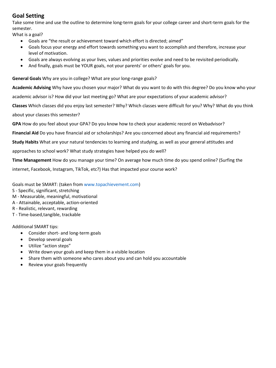# **Goal Setting**

Take some time and use the outline to determine long-term goals for your college career and short-term goals for the semester.

What is a goal?

- Goals are "the result or achievement toward which effort is directed; aimed"
- Goals focus your energy and effort towards something you want to accomplish and therefore, increase your level of motivation.
- Goals are always evolving as your lives, values and priorities evolve and need to be revisited periodically.
- And finally, goals must be YOUR goals, not your parents' or others' goals for you.

**General Goals** Why are you in college? What are your long-range goals?

**Academic Advising** Why have you chosen your major? What do you want to do with this degree? Do you know who your academic advisor is? How did your last meeting go? What are your expectations of your academic advisor? **Classes** Which classes did you enjoy last semester? Why? Which classes were difficult for you? Why? What do you think about your classes this semester?

**GPA** How do you feel about your GPA? Do you know how to check your academic record on Webadvisor?

**Financial Aid** Do you have financial aid or scholarships? Are you concerned about any financial aid requirements?

**Study Habits** What are your natural tendencies to learning and studying, as well as your general attitudes and

approaches to school work? What study strategies have helped you do well?

**Time Management** How do you manage your time? On average how much time do you spend online? (Surfing the

internet, Facebook, Instagram, TikTok, etc?) Has that impacted your course work?

Goals must be SMART: (taken from www.topachievement.com)

- S Specific, significant, stretching
- M Measurable, meaningful, motivational
- A Attainable, acceptable, action-oriented
- R Realistic, relevant, rewarding
- T Time-based,tangible, trackable

Additional SMART tips:

- Consider short- and long-term goals
- Develop several goals
- Utilize "action steps"
- Write down your goals and keep them in a visible location
- Share them with someone who cares about you and can hold you accountable
- Review your goals frequently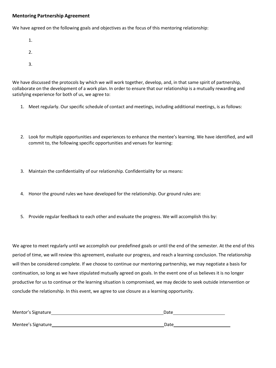#### **Mentoring Partnership Agreement**

We have agreed on the following goals and objectives as the focus of this mentoring relationship:

- 1.
- 
- 2.
- 3.

We have discussed the protocols by which we will work together, develop, and, in that same spirit of partnership, collaborate on the development of a work plan. In order to ensure that our relationship is a mutually rewarding and satisfying experience for both of us, we agree to:

- 1. Meet regularly. Our specific schedule of contact and meetings, including additional meetings, is as follows:
- 2. Look for multiple opportunities and experiences to enhance the mentee's learning. We have identified, and will commit to, the following specific opportunities and venues for learning:
- 3. Maintain the confidentiality of our relationship. Confidentiality for us means:
- 4. Honor the ground rules we have developed for the relationship. Our ground rules are:
- 5. Provide regular feedback to each other and evaluate the progress. We will accomplish this by:

We agree to meet regularly until we accomplish our predefined goals or until the end of the semester. At the end of this period of time, we will review this agreement, evaluate our progress, and reach a learning conclusion. The relationship will then be considered complete. If we choose to continue our mentoring partnership, we may negotiate a basis for continuation, so long as we have stipulated mutually agreed on goals. In the event one of us believes it is no longer productive for us to continue or the learning situation is compromised, we may decide to seek outside intervention or conclude the relationship. In this event, we agree to use closure as a learning opportunity.

| Mentor's Signature | Date |
|--------------------|------|
| Mentee's Signature | Date |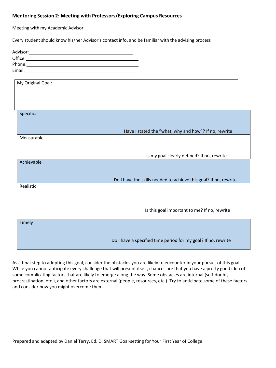# **Mentoring Session 2: Meeting with Professors/Exploring Campus Resources**

Meeting with my Academic Advisor

Every student should know his/her Advisor's contact info, and be familiar with the advising process

| Advisor: Advisor: Advisor: Advisor: Advisor: Advisor: Advisor: Advisor: Advisor: Advisor: Advisor: Advisor: Advisor: Advisor: Advisor: Advisor: Advisor: Advisor: Advisor: Advisor: Advisor: Advisor: Advisor: Advisor: Adviso |                                                                  |
|--------------------------------------------------------------------------------------------------------------------------------------------------------------------------------------------------------------------------------|------------------------------------------------------------------|
|                                                                                                                                                                                                                                |                                                                  |
|                                                                                                                                                                                                                                |                                                                  |
|                                                                                                                                                                                                                                |                                                                  |
|                                                                                                                                                                                                                                |                                                                  |
| My Original Goal:                                                                                                                                                                                                              |                                                                  |
|                                                                                                                                                                                                                                |                                                                  |
|                                                                                                                                                                                                                                |                                                                  |
|                                                                                                                                                                                                                                |                                                                  |
| Specific:                                                                                                                                                                                                                      |                                                                  |
|                                                                                                                                                                                                                                |                                                                  |
|                                                                                                                                                                                                                                |                                                                  |
|                                                                                                                                                                                                                                | Have I stated the "what, why and how"? If no, rewrite            |
| Measurable                                                                                                                                                                                                                     |                                                                  |
|                                                                                                                                                                                                                                |                                                                  |
|                                                                                                                                                                                                                                |                                                                  |
|                                                                                                                                                                                                                                | Is my goal clearly defined? If no, rewrite                       |
| Achievable                                                                                                                                                                                                                     |                                                                  |
|                                                                                                                                                                                                                                |                                                                  |
|                                                                                                                                                                                                                                | Do I have the skills needed to achieve this goal? If no, rewrite |
| Realistic                                                                                                                                                                                                                      |                                                                  |
|                                                                                                                                                                                                                                |                                                                  |
|                                                                                                                                                                                                                                |                                                                  |
|                                                                                                                                                                                                                                |                                                                  |
|                                                                                                                                                                                                                                | Is this goal important to me? If no, rewrite                     |
|                                                                                                                                                                                                                                |                                                                  |
| Timely                                                                                                                                                                                                                         |                                                                  |
|                                                                                                                                                                                                                                |                                                                  |
|                                                                                                                                                                                                                                |                                                                  |
|                                                                                                                                                                                                                                | Do I have a specified time period for my goal? If no, rewrite    |

As a final step to adopting this goal, consider the obstacles you are likely to encounter in your pursuit of this goal. While you cannot anticipate every challenge that will present itself, chances are that you have a pretty good idea of some complicating factors that are likely to emerge along the way. Some obstacles are internal (self-doubt, procrastination, etc.), and other factors are external (people, resources, etc.). Try to anticipate some of these factors and consider how you might overcome them.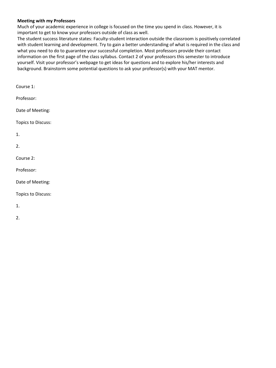#### **Meeting with my Professors**

Much of your academic experience in college is focused on the time you spend in class. However, it is important to get to know your professors outside of class as well.

The student success literature states: Faculty-student interaction outside the classroom is positively correlated with student learning and development. Try to gain a better understanding of what is required in the class and what you need to do to guarantee your successful completion. Most professors provide their contact information on the first page of the class syllabus. Contact 2 of your professors this semester to introduce yourself. Visit your professor's webpage to get ideas for questions and to explore his/her interests and background. Brainstorm some potential questions to ask your professor(s) with your MAT mentor.

| Course 1:          |
|--------------------|
| Professor:         |
| Date of Meeting:   |
| Topics to Discuss: |
| 1.                 |
| 2.                 |
| Course 2:          |
| Professor:         |
| Date of Meeting:   |
| Topics to Discuss: |
|                    |

1.

2.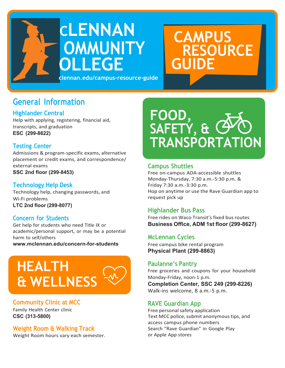

**CAMPUS RESOURCE GUIDE**

# **General Information**

# **Highlander Central**

Help with applying, registering, financial aid, transcripts, and graduation **ESC (299-8622)**

# **Testing Center**

Admissions & program-specific exams, alternative placement or credit exams, and correspondence/ external exams **SSC 2nd floor (299-8453)**

# **Technology Help Desk**

Technology help, changing passwords, and Wi-Fi problems **LTC 2nd floor (299-8077)**

# **Concern for Students**

Get help for students who need Title IX or academic/personal support, or may be a potential harm to self/others

**[www.mclennan.edu/concern-for-students](http://www.mclennan.edu/concern-for-students)**



# **Community Clinic at MCC**

Family Health Center clinic **CSC (313-5800)**

# **Weight Room & Walking Track**

Weight Room hours vary each semester.



# **Campus Shuttles**

Free on-campus ADA-accessible shuttles Monday-Thursday, 7:30 a.m.-5:30 p.m. & Friday 7:30 a.m.-3:30 p.m. Hop on anytime or use the Rave Guardian app to request pick up

# **Highlander Bus Pass**

Free rides on Waco Transit's fixed bus routes **Business Office, ADM 1st floor (299-8627)**

# **McLennan Cycles**

Free campus bike rental program **Physical Plant (299-8863)**

# **Paulanne's Pantry**

Free groceries and coupons for your household Monday-Friday, noon-1 p.m. **Completion Center, SSC 249 (299-8226)** Walk-ins welcome, 8 a.m.-5 p.m.

# **RAVE Guardian App**

Free personal safety application Text MCC police, submit anonymous tips, and access campus phone numbers Search "Rave Guardian" in Google Play or Apple App stores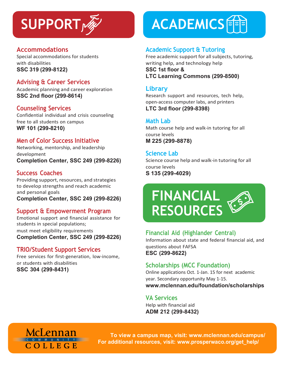# **Accommodations**

Special accommodations for students with disabilities **SSC 319 (299-8122)**

# **Advising & Career Services**

Academic planning and career exploration **SSC 2nd floor (299-8614)**

# **Counseling Services**

Confidential individual and crisis counseling free to all students on campus **WF 101 (299-8210)**

# **Men of Color Success Initiative**

Networking, mentorship, and leadership development **Completion Center, SSC 249 (299-8226)**

# **Success Coaches**

Providing support, resources, and strategies to develop strengths and reach academic and personal goals **Completion Center, SSC 249 (299-8226)**

# **Support & Empowerment Program**

Emotional support and financial assistance for students in special populations; must meet eligibility requirements **Completion Center, SSC 249 (299-8226)**

# **TRIO/Student Support Services**

Free services for first-generation, low-income, or students with disabilities **SSC 304 (299-8431)**

# **SUPPORT ACADEMICS**

# **Academic Support & Tutoring**

Free academic support for all subjects, tutoring, writing help, and technology help **SSC 1st floor & LTC Learning Commons (299-8500)**

# **Library**

Research support and resources, tech help, open-access computer labs, and printers **LTC 3rd floor (299-8398)**

# **Math Lab**

Math course help and walk-in tutoring for all course levels **M 225 (299-8878)**

# **Science Lab**

Science course help and walk-in tutoring for all course levels **S 135 (299-4029)**



# **Financial Aid (Highlander Central)**

Information about state and federal financial aid, and questions about FAFSA **ESC (299-8622)**

# **Scholarships (MCC Foundation)**

Online applications Oct. 1-Jan. 15 for next academic year. Secondary opportunity May 1-15. **[www.mclennan.edu/foundation/scholarships](http://www.mclennan.edu/foundation/scholarships)**

# **VA Services**

Help with financial aid **ADM 212 (299-8432)**



**To view a campus map, visit: [www.mclennan.edu/campus/](http://www.mclennan.edu/campus/) For additional resources, visit: [www.prosperwaco.org/get\\_help/](http://www.prosperwaco.org/get_help/)**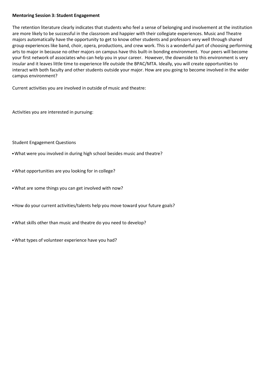#### **Mentoring Session 3: Student Engagement**

The retention literature clearly indicates that students who feel a sense of belonging and involvement at the institution are more likely to be successful in the classroom and happier with their collegiate experiences. Music and Theatre majors automatically have the opportunity to get to know other students and professors very well through shared group experiences like band, choir, opera, productions, and crew work. This is a wonderful part of choosing performing arts to major in because no other majors on campus have this built-in bonding environment. Your peers will become your first network of associates who can help you in your career. However, the downside to this environment is very insular and it leaves little time to experience life outside the BPAC/MTA. Ideally, you will create opportunities to interact with both faculty and other students outside your major. How are you going to become involved in the wider campus environment?

Current activities you are involved in outside of music and theatre:

Activities you are interested in pursuing:

#### Student Engagement Questions

- •What were you involved in during high school besides music and theatre?
- •What opportunities are you looking for in college?
- •What are some things you can get involved with now?
- •How do your current activities/talents help you move toward your future goals?
- •What skills other than music and theatre do you need to develop?
- •What types of volunteer experience have you had?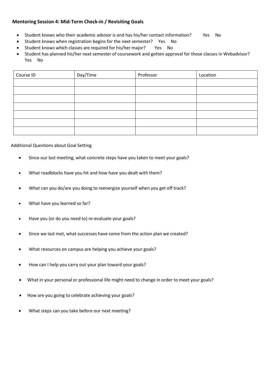# **Mentoring Session 4: Mid-Term Check-in / Revisiting Goals**

- Student knows who their academic advisor is and has his/her contact information? Yes No
- Student knows when registration begins for the next semester? Yes No
- Student knows which classes are required for his/her major? Yes No
- Student has planned his/her next semester of coursework and gotten approval for those classes in Webadvisor? Yes No

| Course ID | Day/Time | Professor | Location |
|-----------|----------|-----------|----------|
|           |          |           |          |
|           |          |           |          |
|           |          |           |          |
|           |          |           |          |
|           |          |           |          |
|           |          |           |          |
|           |          |           |          |

#### Additional Questions about Goal Setting

- Since our last meeting, what concrete steps have you taken to meet your goals?
- What roadblocks have you hit and how have you dealt with them?
- What can you do/are you doing to reenergize yourself when you get off track?
- What have you learned so far?
- Have you (or do you need to) re-evaluate your goals?
- Since we last met, what successes have come from the action plan we created?
- What resources on campus are helping you achieve your goals?
- How can I help you carry out your plan toward your goals?
- What in your personal or professional life might need to change in order to meet your goals?
- How are you going to celebrate achieving your goals?
- What steps can you take before our next meeting?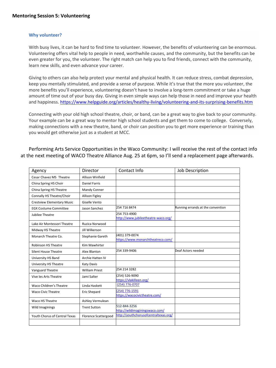#### **Why volunteer?**

With busy lives, it can be hard to find time to volunteer. However, the benefits of volunteering can be enormous. Volunteering offers vital help to people in need, worthwhile causes, and the community, but the benefits can be even greater for you, the volunteer. The right match can help you to find friends, connect with the community, learn new skills, and even advance your career.

Giving to others can also help protect your mental and physical health. It can reduce stress, combat depression, keep you mentally stimulated, and provide a sense of purpose. While it's true that the more you volunteer, the more benefits you'll experience, volunteering doesn't have to involve a long-term commitment or take a huge amount of time out of your busy day. Giving in even simple ways can help those in need and improve your health and happiness. <https://www.helpguide.org/articles/healthy-living/volunteering-and-its-surprising-benefits.htm>

Connecting with your old high school theatre, choir, or band, can be a great way to give back to your community. Your example can be a great way to mentor high school students and get them to come to college. Conversely, making connections with a new theatre, band, or choir can position you to get more experience or training than you would get otherwise just as a student at MCC.

# Performing Arts Service Opportunities in the Waco Community: I will receive the rest of the contact info at the next meeting of WACO Theatre Alliance Aug. 25 at 6pm, so I'll send a replacement page afterwards.

| Agency                            | Director                    | Contact Info                                        | Job Description                   |
|-----------------------------------|-----------------------------|-----------------------------------------------------|-----------------------------------|
| Cesar Chavez MS Theatre           | <b>Allison Winfield</b>     |                                                     |                                   |
| China Spring HS Choir             | <b>Daniel Farris</b>        |                                                     |                                   |
| China Spring HS Theatre           | Mandy Conner                |                                                     |                                   |
| Connally HS Theatre/Choir         | <b>Allison Figley</b>       |                                                     |                                   |
| <b>Crestview Elementary Music</b> | Giselle Vento               |                                                     |                                   |
| <b>EGX Costume Committee</b>      | Jason Sanchez               | 254 716 8474                                        | Running errands at the convention |
| Jubilee Theatre                   |                             | 254 753-4900<br>http://www.jubileetheatre-waco.org/ |                                   |
| Lake Air Montessori Theatre       | Ruzica Norwood              |                                                     |                                   |
| Midway HS Theatre                 | Jill Wilkerson              |                                                     |                                   |
| Monarch Theatre Co.               | Stephanie Gareth            | (401) 379-0074<br>https://www.monarchtheatreco.com/ |                                   |
| <b>Robinson HS Theatre</b>        | <b>Kim Mawhirter</b>        |                                                     |                                   |
| <b>Silent House Theatre</b>       | Alex Blanton                | 254 339-9406                                        | Deaf Actors needed                |
| University HS Band                | Archie Hatten IV            |                                                     |                                   |
| University HS Theatre             | <b>Katy Davis</b>           |                                                     |                                   |
| Vanguard Theatre                  | <b>William Priest</b>       | 254 214 3282                                        |                                   |
| Vive les Arts Theatre             | Jami Salter                 | (254) 526-9090<br>https://vlakilleen.org/           |                                   |
| Waco Children's Theatre           | Linda Haskett               | (254) 776-0707                                      |                                   |
| <b>Waco Civic Theatre</b>         | <b>Eric Shepard</b>         | (254) 776-1591<br>https://wacocivictheatre.com/     |                                   |
| Waco HS Theatre                   | Ashley Vermulean            |                                                     |                                   |
| Wild Imaginings                   | <b>Trent Sutton</b>         | 512-844-3256<br>http://wildimaginingswaco.com/      |                                   |
| Youth Chorus of Central Texas     | <b>Florence Scattergood</b> | http://youthchorusofcentraltexas.org/               |                                   |
|                                   |                             |                                                     |                                   |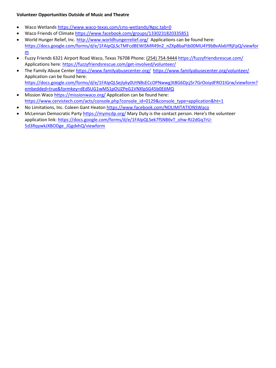# **Volunteer Opportunities Outside of Music and Theatre**

- Waco Wetlands<https://www.waco-texas.com/cms-wetlands/#gsc.tab=0>
- Waco Friends of Climat[e https://www.facebook.com/groups/1330231820335851](https://www.facebook.com/groups/1330231820335851)
- World Hunger Relief, Inc. <http://www.worldhungerrelief.org/>Applications can be found here: [https://docs.google.com/forms/d/e/1FAIpQLScTMFcdBEWISMR49n2\\_nZXp8baFtb00MU4Y9bBvAlxbYRjFpQ/viewfor](https://docs.google.com/forms/d/e/1FAIpQLScTMFcdBEWISMR49n2_nZXp8baFtb00MU4Y9bBvAlxbYRjFpQ/viewform) [m](https://docs.google.com/forms/d/e/1FAIpQLScTMFcdBEWISMR49n2_nZXp8baFtb00MU4Y9bBvAlxbYRjFpQ/viewform)
- Fuzzy Friends 6321 Airport Road Waco, Texas 76708 Phone: [\(254\) 754-9444](tel:2547549444) <https://fuzzyfriendsrescue.com/> Applications here[: https://fuzzyfriendsrescue.com/get-involved/volunteer/](https://fuzzyfriendsrescue.com/get-involved/volunteer/)
- The Family Abuse Center <https://www.familyabusecenter.org/><https://www.familyabusecenter.org/volunteer/> Application can be found here: [https://docs.google.com/forms/d/e/1FAIpQLSejIyky0UtNBsECcOPNwwg3t8G6Djcj5r7GrOoiydFRO1IGrw/viewform?](https://docs.google.com/forms/d/e/1FAIpQLSejIyky0UtNBsECcOPNwwg3t8G6Djcj5r7GrOoiydFRO1IGrw/viewform?embedded=true&formkey=dEdSUG1wMS1pOUZPeG1VNXlpSG45b0E6MQ) [embedded=true&formkey=dEdSUG1wMS1pOUZPeG1VNXlpSG45b0E6MQ](https://docs.google.com/forms/d/e/1FAIpQLSejIyky0UtNBsECcOPNwwg3t8G6Djcj5r7GrOoiydFRO1IGrw/viewform?embedded=true&formkey=dEdSUG1wMS1pOUZPeG1VNXlpSG45b0E6MQ)
- Mission Waco <https://missionwaco.org/> Application can be found here: [https://www.cervistech.com/acts/console.php?console\\_id=0129&console\\_type=application&ht=1](https://www.cervistech.com/acts/console.php?console_id=0129&console_type=application&ht=1)
- No Limitations, Inc. Coleen Gant Heato[n https://www.facebook.com/NOLIMITATIONSWaco](https://www.facebook.com/NOLIMITATIONSWaco)
- McLennan Democratic Party<https://mymcdp.org/> Mary Duty is the contact person. Here's the volunteer application link: [https://docs.google.com/forms/d/e/1FAIpQLSek7fSNB6vT\\_ohw-RJ2dGq7rU-](https://docs.google.com/forms/d/e/1FAIpQLSek7fSNB6vT_ohw-RJ2dGq7rU-5d3RqywkJXBODge_JGgdxhQ/viewform)[5d3RqywkJXBODge\\_JGgdxhQ/viewform](https://docs.google.com/forms/d/e/1FAIpQLSek7fSNB6vT_ohw-RJ2dGq7rU-5d3RqywkJXBODge_JGgdxhQ/viewform)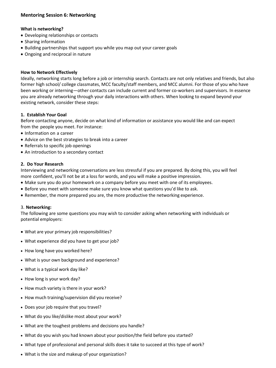# **Mentoring Session 6: Networking**

#### **What is networking?**

- Developing relationships or contacts
- Sharing information
- Building partnerships that support you while you map out your career goals
- Ongoing and reciprocal in nature

#### **How to Network Effectively**

Ideally, networking starts long before a job or internship search. Contacts are not only relatives and friends, but also former high school/ college classmates, MCC faculty/staff members, and MCC alumni. For those of you who have been working or interning—other contacts can include current and former co-workers and supervisors. In essence you are already networking through your daily interactions with others. When looking to expand beyond your existing network, consider these steps:

#### **1. Establish Your Goal**

Before contacting anyone, decide on what kind of information or assistance you would like and can expect from the people you meet. For instance:

- Information on a career
- Advice on the best strategies to break into a career
- Referrals to specific job openings
- An introduction to a secondary contact

#### **2. Do Your Research**

Interviewing and networking conversations are less stressful if you are prepared. By doing this, you will feel more confident, you'll not be at a loss for words, and you will make a positive impression.

- Make sure you do your homework on a company before you meet with one of its employees.
- Before you meet with someone make sure you know what questions you'd like to ask.
- Remember, the more prepared you are, the more productive the networking experience.

#### 3. **Networking:**

The following are some questions you may wish to consider asking when networking with individuals or potential employers:

- What are your primary job responsibilities?
- What experience did you have to get your job?
- How long have you worked here?
- What is your own background and experience?
- What is a typical work day like?
- How long is your work day?
- How much variety is there in your work?
- How much training/supervision did you receive?
- Does your job require that you travel?
- What do you like/dislike most about your work?
- What are the toughest problems and decisions you handle?
- What do you wish you had known about your position/the field before you started?
- What type of professional and personal skills does it take to succeed at this type of work?
- What is the size and makeup of your organization?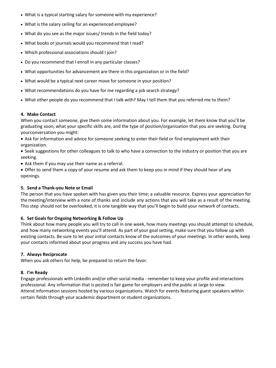- What is a typical starting salary for someone with my experience?
- What is the salary ceiling for an experienced employee?
- What do you see as the major issues/ trends in the field today?
- What books or journals would you recommend that I read?
- Which professional associations should I join?
- Do you recommend that I enroll in any particular classes?
- What opportunities for advancement are there in this organization or in the field?
- What would be a typical next career move for someone in your position?
- What recommendations do you have for me regarding a job search strategy?
- What other people do you recommend that I talk with? May I tell them that you referred me to them?

# **4. Make Contact**

When you contact someone, give them some information about you. For example, let them know that you'll be graduating soon, what your specific skills are, and the type of position/organization that you are seeking. During yourconversation you might:

• Ask for information and advice for someone seeking to enter their field or find employment with their organization.

• Seek suggestions for other colleagues to talk to who have a connection to the industry or position that you are seeking.

- Ask them if you may use their name as a referral.
- Offer to send them a copy of your resume and ask them to keep you in mind if they should hear of any openings.

#### **5. Send a Thank-you Note or Email**

The person that you have spoken with has given you their time; a valuable resource. Express your appreciation for themeeting/interview with a note of thanks and include any actions that you will take as a result of the meeting. This step should not be overlooked, it is one tangible way that you'll begin to build your network of contacts.

#### **6. Set Goals for Ongoing Networking & Follow Up**

Think about how many people you will try to call in one week, how many meetings you should attempt to schedule, and how many networking events you'll attend. As part of your goal setting, make sure that you follow up with existing contacts. Be sure to let your initial contacts know of the outcomes of your meetings. In other words, keep your contacts informed about your progress and any success you have had.

#### **7. Always Reciprocate**

When you ask others for help, be prepared to return the favor.

#### **8. I'm Ready**

Engage professionals with LinkedIn and/or other social media - remember to keep your profile and interactions professional. Any information that is posted is fair game for employers and the public at large to view. Attend information sessions hosted by various organizations. Watch for events featuring guest speakers within certain fields through your academic department or student organizations.